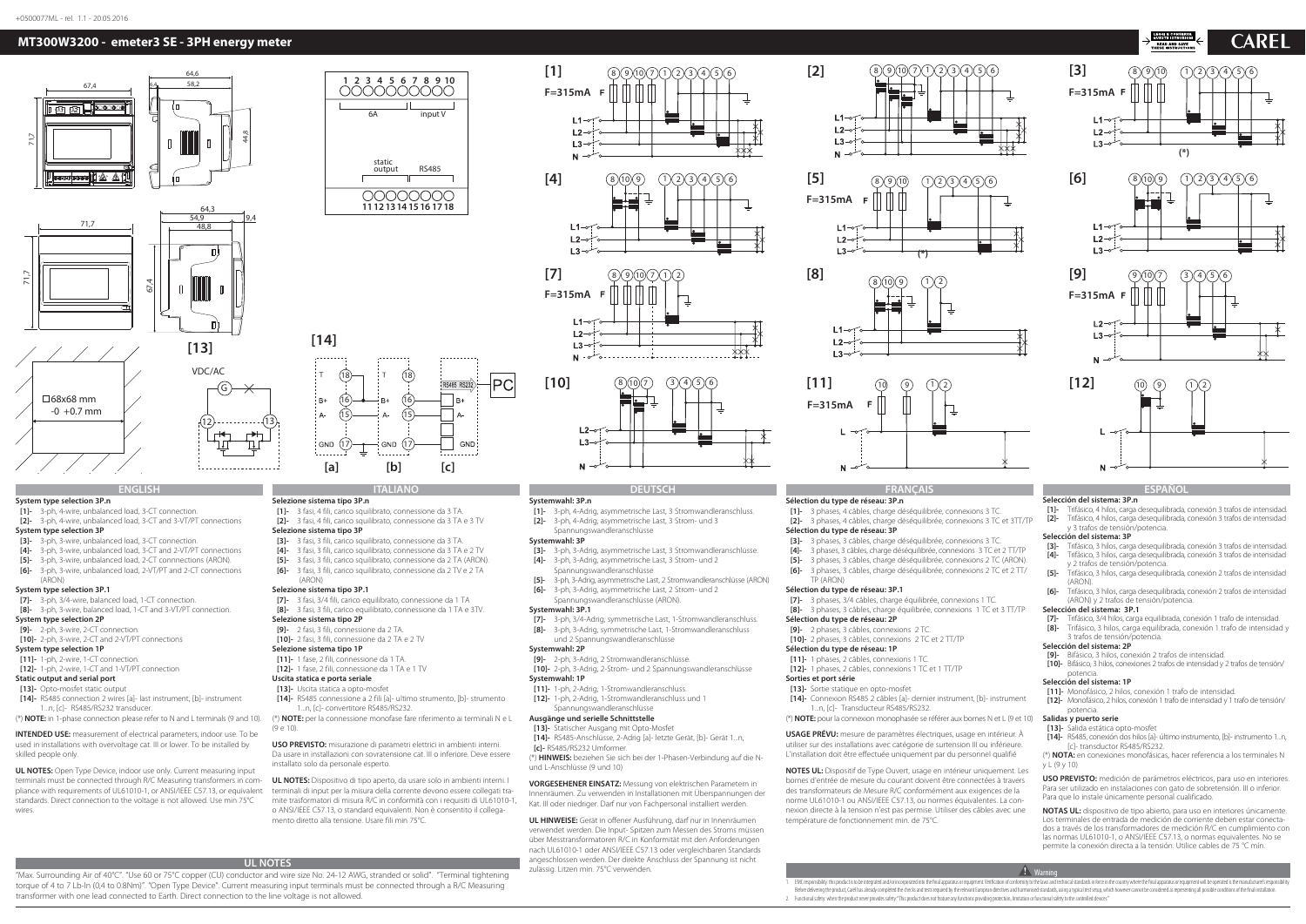### **ENGLISH**

### **System type selection 3P.n**

**[1]-** 3-ph, 4-wire, unbalanced load, 3-CT connection. **[2]-** 3-ph, 4-wire, unbalanced load, 3-CT and 3-VT/PT connections

### **System type selection 3P**

- **[3]-** 3-ph, 3-wire, unbalanced load, 3-CT connection.
- **[4]-** 3-ph, 3-wire, unbalanced load, 3-CT and 2-VT/PT connections
- **[5]-** 3-ph, 3-wire, unbalanced load, 2-CT connnections (ARON).
- **[6]-** 3-ph, 3-wire, unbalanced load, 2-VT/PT and 2-CT connections
- (ARON)

### **System type selection 3P.1**

- **[7]-** 3-ph, 3/4-wire, balanced load, 1-CT connection.
- **[8]-** 3-ph, 3-wire, balanced load, 1-CT and 3-VT/PT connection.

### **System type selection 2P**

- **[9]-** 2-ph, 3-wire, 2-CT connection.
- **[10]-** 2-ph, 3-wire, 2-CT and 2-VT/PT connections
- **System type selection 1P**
- **[11]-** 1-ph, 2-wire, 1-CT connection.
- **[12]-** 1-ph, 2-wire, 1-CT and 1-VT/PT connection

### **Static output and serial port**

- **[13]-** Opto-mosfet static output
- **[14]-** RS485 connection 2 wires [a]- last instrument, [b]- instrument
- 1...n, [c]- RS485/RS232 transducer.
- (\*) **NOTE:** in 1-phase connection please refer to N and L terminals (9 and 10).

**INTENDED USE:** measurement of electrical parameters, indoor use. To be used in installations with overvoltage cat. III or lower. To be installed by skilled people only.

- **[13]-** Uscita statica a opto-mosfet **[14]-** RS485 connessione a 2 fili [a]- ultimo strumento, [b]- strumento
- 1...n, [c]- convertitore RS485/RS232.
- (\*) **NOTE:** per la connessione monofase fare riferimento ai terminali N e L  $(9e10)$

**UL NOTES:** Open Type Device, indoor use only. Current measuring input terminals must be connected through R/C Measuring transformers in compliance with requirements of UL61010-1, or ANSI/IEEE C57.13, or equivalent standards. Direct connection to the voltage is not allowed. Use min 75°C wires.

**ITALIANO**

i gnd (17

**Selezione sistema tipo 3P.n**

**[1]-** 3 fasi, 4 fili, carico squilibrato, connessione da 3 TA. **[2]-** 3 fasi, 4 fili, carico squilibrato, connessione da 3 TA e 3 TV

**Selezione sistema tipo 3P**

 **[3]-** 3 fasi, 3 fili, carico squilibrato, connessione da 3 TA.  **[4]-** 3 fasi, 3 fili, carico squilibrato, connessione da 3 TA e 2 TV **[5]-** 3 fasi, 3 fili, carico squilibrato, connessione da 2 TA (ARON). **[6]-** 3 fasi, 3 fili, carico squilibrato, connessione da 2 TV e 2 TA

(ARON)

- - **Selezione sistema tipo 3P.1 [7]-** 3 fasi, 3/4 fili, carico equilibrato, connessione da 1 TA

**[8]-** 3 fasi, 3 fili, carico equilibrato, connessione da 1 TA e 3TV.

### **Selezione sistema tipo 2P**

- **[9]-** 2 fasi, 3 fili, connessione da 2 TA.
- **[10]-** 2 fasi, 3 fili, connessione da 2 TA e 2 TV
- **Selezione sistema tipo 1P**
- **[11]-** 1 fase, 2 fili, connessione da 1 TA.
- **[12]-** 1 fase, 2 fili, connessione da 1 TA e 1 TV **Uscita statica e porta seriale**

**USO PREVISTO:** misurazione di parametri elettrici in ambienti interni. Da usare in installazioni con sovratensione cat. III o inferiore. Deve essere installato solo da personale esperto.

**UL NOTES:** Dispositivo di tipo aperto, da usare solo in ambienti interni. I terminali di input per la misura della corrente devono essere collegati tramite trasformatori di misura R/C in conformità con i requisiti di UL61010-1, o ANSI/IEEE C57.13, o standard equivalenti. Non è consentito il collegamento diretto alla tensione. Usare fili min 75°C.

### **DEUTSCH**

### **Systemwahl: 3P.n**

PC

GND

**[1]-** 3-ph, 4-Adrig, asymmetrische Last, 3 Stromwandleranschluss. **[2]-** 3-ph, 4-Adrig, asymmetrische Last, 3 Strom- und 3 Spannungswandleranschlüsse

### **Systemwahl: 3P**

- **[3]-** 3-ph, 3-Adrig, asymmetrische Last, 3 Stromwandleranschlüsse.
- **[4]-** 3-ph, 3-Adrig, asymmetrische Last, 3 Strom- und 2 Spannungswandleranschlüsse
- **[5]-** 3-ph, 3-Adrig, asymmetrische Last, 2 Stromwandleranschlüsse (ARON)
- **[6]-** 3-ph, 3-Adrig, asymmetrische Last, 2 Strom- und 2
- Spannungswandleranschlüsse (ARON).

### **Systemwahl: 3P.1**

- **[7]-** 3-ph, 3/4-Adrig, symmetrische Last, 1-Stromwandleranschluss.
- **[8]-** 3-ph, 3-Adrig, symmetrische Last, 1-Stromwandleranschluss und 2 Spannungswandleranschlüsse

### **Systemwahl: 2P**

- **[9]-** 2-ph, 3-Adrig, 2 Stromwandleranschlüsse.
- **[10]-** 2-ph, 3-Adrig, 2-Strom- und 2 Spannungswandleranschlüsse

### **Systemwahl: 1P**

- **[11]-** 1-ph, 2-Adrig, 1-Stromwandleranschluss.
- **[12]-** 1-ph, 2-Adrig, 1-Stromwandleranschluss und 1 Spannungswandleranschlüsse

### **Ausgänge und serielle Schnittstelle**

- **[13]-** Statischer Ausgang mit Opto-Mosfet **[14]-** RS485-Anschlüsse, 2-Adrig [a]- letzte Gerät, [b]- Gerät 1...n,
- **[c]-** RS485/RS232 Umformer.

(\*) **HINWEIS:** beziehen Sie sich bei der 1-Phasen-Verbindung auf die Nund L-Anschlüsse (9 und 10)

**VORGESEHENER EINSATZ:** Messung von elektrischen Parametern in Innenräumen. Zu verwenden in Installationen mit Überspannungen der Kat. III oder niedriger. Darf nur von Fachpersonal installiert werden.

**UL HINWEISE:** Gerät in offener Ausführung, darf nur in Innenräumen verwendet werden. Die Input- Spitzen zum Messen des Stroms müssen über Messtransformatoren R/C in Konformität mit den Anforderungen nach UL61010-1 oder ANSI/IEEE C57.13 oder vergleichbaren Standards angeschlossen werden. Der direkte Anschluss der Spannung ist nicht zulässig. Litzen min. 75°C verwenden.

## **FRANÇAIS**

### **Sélection du type de réseau: 3P.n**

**[1]-** 3 phases, 4 câbles, charge déséquilibrée, connexions 3 TC. **[2]-** 3 phases, 4 câbles, charge déséquilibrée, connexions 3 TC et 3TT/TP **Sélection du type de réseau: 3P**

EMC responsibility: this product is to be integrated and/or incorporated into the final apparatus or equipment Verification of conformity to the laws and technical standards in force in the country where the final apparatu Before delivering the product, Carel has already completed the checks and tests required by the relevant European directives and harmonised standards, using a typical test setup, which however cannot be considered as repre 2. Functional safety: when the product never provides safety: "This product does not feature any functions providing protection, limitation or functional safety to the controlled devices."

- **[3]-** 3 phases, 3 câbles, charge déséquilibrée, connexions 3 TC.
- **[4]-** 3 phases, 3 câbles, charge déséquilibrée, connexions 3 TC et 2 TT/TP
- **[5]-** 3 phases, 3 câbles, charge déséquilibrée, connexions 2 TC (ARON).
- **[6]-** 3 phases, 3 câbles, charge déséquilibrée, connexions 2 TC et 2 TT/
- TP (ARON)

### **Sélection du type de réseau: 3P.1**

- **[7]-** 3 phases, 3/4 câbles, charge équilibrée, connexions 1 TC.
- **[8]-** 3 phases, 3 câbles, charge équilibrée, connexions 1 TC et 3 TT/TP
- **Sélection du type de réseau: 2P**

## **[9]-** 2 phases, 3 câbles, connexions 2 TC.

- **[10]-** 2 phases, 3 câbles, connexions 2 TC et 2 TT/TP
- **Sélection du type de réseau: 1P [11]-** 1 phases, 2 câbles, connexions 1 TC.
- **[12]-** 1 phases, 2 câbles, connexions 1 TC et 1 TT/TP
- **Sorties et port série**

- **[13]-** Sortie statique en opto-mosfet **[14]-** Connexion RS485 2 câbles [a]- dernier instrument, [b]- instrument
- 1...n, [c]- Transducteur RS485/RS232. (\*) **NOTE:** pour la connexion monophasée se référer aux bornes N et L (9 et 10)

### **USAGE PRÉVU:** mesure de paramètres électriques, usage en intérieur. À utiliser sur des installations avec catégorie de surtension III ou inférieure. L'installation doit être effectuée uniquement par du personnel qualifié

**NOTES UL:** Dispositif de Type Ouvert, usage en intérieur uniquement. Les bornes d'entrée de mesure du courant doivent être connectées à travers des transformateurs de Mesure R/C conformément aux exigences de la norme UL61010-1 ou ANSI/IEEE C57.13, ou normes équivalentes. La connexion directe à la tension n'est pas permise. Utiliser des câbles avec une température de fonctionnement min. de 75°C.

### **ESPAÑOL**

**Selección del sistema: 3P.n [1]-** Trifásico, 4 hilos, carga desequilibrada, conexión 3 trafos de intensidad. **[2]-** Trifásico, 4 hilos, carga desequilibrada, conexión 3 trafos de intensidad y 3 trafos de tensión/potencia.

### **Selección del sistema: 3P**

- **[3]-** Trifásico, 3 hilos, carga desequilibrada, conexión 3 trafos de intensidad. **[4]-** Trifásico, 3 hilos, carga desequilibrada, conexión 3 trafos de intensidad
- y 2 trafos de tensión/potencia.<br>**[5]-** Trifásico 3 bilos carga deseguilib **[5]-** Trifásico, 3 hilos, carga desequilibrada, conexión 2 trafos de intensidad (ARON).
- **[6]-** Trifásico, 3 hilos, carga desequilibrada, conexión 2 trafos de intensidad (ARON) y 2 trafos de tensión/potencia.

### **Selección del sistema: 3P.1**

  **[7]-** Trifásico, 3/4 hilos, carga equilibrada, conexión 1 trafo de intensidad. **[8]-** Trifásico, 3 hilos, carga equilibrada, conexión 1 trafo de intensidad y 3 trafos de tensión/potencia.

### **Selección del sistema: 2P**

- **[9]-** Bifásico, 3 hilos, conexión 2 trafos de intensidad.
- **[10]-** Bifásico, 3 hilos, conexiones 2 trafos de intensidad y 2 trafos de tensión/ potencia.

### **Selección del sistema: 1P**

- **[11]-** Monofásico, 2 hilos, conexión 1 trafo de intensidad.
- **[12]-** Monofásico, 2 hilos, conexión 1 trafo de intensidad y 1 trafo de tensión/ potencia.

### **Salidas y puerto serie**

- **[13]-** Salida estática opto-mosfet
- **[14]-** RS485, conexión dos hilos [a]- último instrumento, [b]- instrumento 1...n, [c]- transductor RS485/RS232.

(\*) **NOTA:** en conexiones monofásicas, hacer referencia a los terminales N y L (9 y 10)

**USO PREVISTO:** medición de parámetros eléctricos, para uso en interiores. Para ser utilizado en instalaciones con gato de sobretensión. III o inferior. Para que lo instale únicamente personal cualificado.

**NOTAS UL:** dispositivo de tipo abierto, para uso en interiores únicamente. Los terminales de entrada de medición de corriente deben estar conectados a través de los transformadores de medición R/C en cumplimiento con las normas UL61010-1, o ANSI/IEEE C57.13, o normas equivalentes. No se permite la conexión directa a la tensión. Utilice cables de 75 °C mín.

### **1** Warning

## **MT300W3200 - emeter3 SE - 3PH energy meter**

## **1 2 3 4 5 6 7 8 9 10** 0000000000 input V 6Astatic output RS485 00000000 **11121314 1516 1718**

18

16

: GND (17







# 15



 $\mathbf{r}$ 

- 
- 
- 

:<br>B+

- 
- 
- 

18

1615



















**[a] [b] [c]**





**UL NOTES** "Max. Surrounding Air of 40°C". "Use 60 or 75°C copper (CU) conductor and wire size No. 24-12 AWG, stranded or solid". "Terminal tightening torque of 4 to 7 Lb-In (0,4 to 0.8Nm)". "Open Type Device". Current measuring input terminals must be connected through a R/C Measuring transformer with one lead connected to Earth. Direct connection to the line voltage is not allowed.